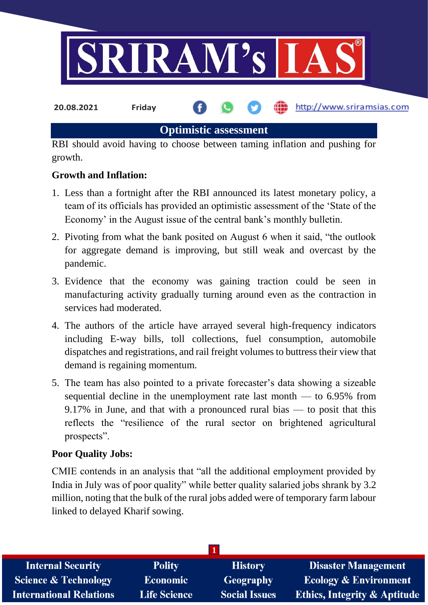

**Optimistic assessment**

RBI should avoid having to choose between taming inflation and pushing for growth.

## **Growth and Inflation:**

- 1. Less than a fortnight after the RBI announced its latest monetary policy, a team of its officials has provided an optimistic assessment of the 'State of the Economy' in the August issue of the central bank's monthly bulletin.
- 2. Pivoting from what the bank posited on August 6 when it said, "the outlook for aggregate demand is improving, but still weak and overcast by the pandemic.
- 3. Evidence that the economy was gaining traction could be seen in manufacturing activity gradually turning around even as the contraction in services had moderated.
- 4. The authors of the article have arrayed several high-frequency indicators including E-way bills, toll collections, fuel consumption, automobile dispatches and registrations, and rail freight volumes to buttress their view that demand is regaining momentum.
- 5. The team has also pointed to a private forecaster's data showing a sizeable sequential decline in the unemployment rate last month — to 6.95% from 9.17% in June, and that with a pronounced rural bias — to posit that this reflects the "resilience of the rural sector on brightened agricultural prospects".

### **Poor Quality Jobs:**

CMIE contends in an analysis that "all the additional employment provided by India in July was of poor quality" while better quality salaried jobs shrank by 3.2 million, noting that the bulk of the rural jobs added were of temporary farm labour linked to delayed Kharif sowing.

| <b>Polity</b>       | <b>History</b>       | <b>Disaster Management</b>              |
|---------------------|----------------------|-----------------------------------------|
| Economic            | <b>Geography</b>     | <b>Ecology &amp; Environment</b>        |
| <b>Life Science</b> | <b>Social Issues</b> | <b>Ethics, Integrity &amp; Aptitude</b> |
|                     |                      |                                         |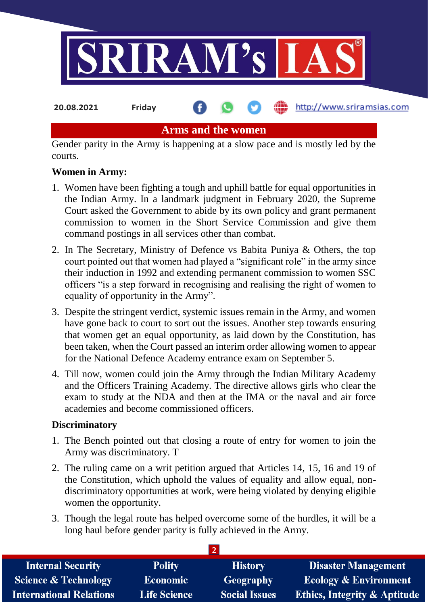

**Arms and the women**

Gender parity in the Army is happening at a slow pace and is mostly led by the courts.

### **Women in Army:**

- 1. Women have been fighting a tough and uphill battle for equal opportunities in the Indian Army. In a landmark judgment in February 2020, the Supreme Court asked the Government to abide by its own policy and grant permanent commission to women in the Short Service Commission and give them command postings in all services other than combat.
- 2. In The Secretary, Ministry of Defence vs Babita Puniya & Others, the top court pointed out that women had played a "significant role" in the army since their induction in 1992 and extending permanent commission to women SSC officers "is a step forward in recognising and realising the right of women to equality of opportunity in the Army".
- 3. Despite the stringent verdict, systemic issues remain in the Army, and women have gone back to court to sort out the issues. Another step towards ensuring that women get an equal opportunity, as laid down by the Constitution, has been taken, when the Court passed an interim order allowing women to appear for the National Defence Academy entrance exam on September 5.
- 4. Till now, women could join the Army through the Indian Military Academy and the Officers Training Academy. The directive allows girls who clear the exam to study at the NDA and then at the IMA or the naval and air force academies and become commissioned officers.

#### **Discriminatory**

- 1. The Bench pointed out that closing a route of entry for women to join the Army was discriminatory. T
- 2. The ruling came on a writ petition argued that Articles 14, 15, 16 and 19 of the Constitution, which uphold the values of equality and allow equal, nondiscriminatory opportunities at work, were being violated by denying eligible women the opportunity.
- 3. Though the legal route has helped overcome some of the hurdles, it will be a long haul before gender parity is fully achieved in the Army.

**2** 

| <b>Internal Security</b>        | <b>Polity</b>       | <b>History</b>       | <b>Disaster Management</b>              |  |
|---------------------------------|---------------------|----------------------|-----------------------------------------|--|
| <b>Science &amp; Technology</b> | <b>Economic</b>     | Geography            | <b>Ecology &amp; Environment</b>        |  |
| <b>International Relations</b>  | <b>Life Science</b> | <b>Social Issues</b> | <b>Ethics, Integrity &amp; Aptitude</b> |  |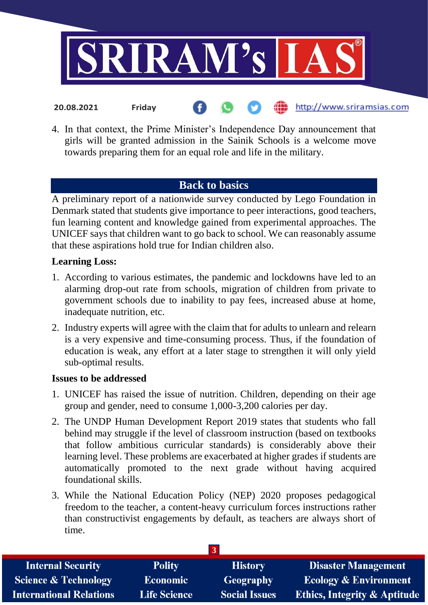

4. In that context, the Prime Minister's Independence Day announcement that girls will be granted admission in the Sainik Schools is a welcome move towards preparing them for an equal role and life in the military.

# **Back to basics**

A preliminary report of a nationwide survey conducted by Lego Foundation in Denmark stated that students give importance to peer interactions, good teachers, fun learning content and knowledge gained from experimental approaches. The UNICEF says that children want to go back to school. We can reasonably assume that these aspirations hold true for Indian children also.

### **Learning Loss:**

- 1. According to various estimates, the pandemic and lockdowns have led to an alarming drop-out rate from schools, migration of children from private to government schools due to inability to pay fees, increased abuse at home, inadequate nutrition, etc.
- 2. Industry experts will agree with the claim that for adults to unlearn and relearn is a very expensive and time-consuming process. Thus, if the foundation of education is weak, any effort at a later stage to strengthen it will only yield sub-optimal results.

#### **Issues to be addressed**

- 1. UNICEF has raised the issue of nutrition. Children, depending on their age group and gender, need to consume 1,000-3,200 calories per day.
- 2. The UNDP Human Development Report 2019 states that students who fall behind may struggle if the level of classroom instruction (based on textbooks that follow ambitious curricular standards) is considerably above their learning level. These problems are exacerbated at higher grades if students are automatically promoted to the next grade without having acquired foundational skills.
- 3. While the National Education Policy (NEP) 2020 proposes pedagogical freedom to the teacher, a content-heavy curriculum forces instructions rather than constructivist engagements by default, as teachers are always short of time.

| <b>Internal Security</b>        | <b>Polity</b>       | <b>History</b>       | <b>Disaster Management</b>              |
|---------------------------------|---------------------|----------------------|-----------------------------------------|
| <b>Science &amp; Technology</b> | <b>Economic</b>     | Geography            | <b>Ecology &amp; Environment</b>        |
| <b>International Relations</b>  | <b>Life Science</b> | <b>Social Issues</b> | <b>Ethics, Integrity &amp; Aptitude</b> |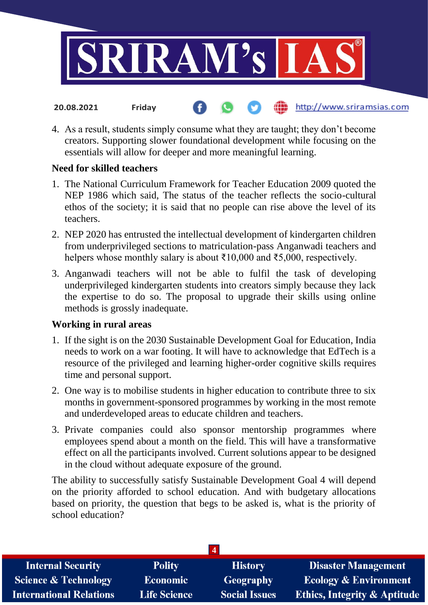

4. As a result, students simply consume what they are taught; they don't become creators. Supporting slower foundational development while focusing on the essentials will allow for deeper and more meaningful learning.

### **Need for skilled teachers**

**20.08.2021 Friday**

- 1. The National Curriculum Framework for Teacher Education 2009 quoted the NEP 1986 which said, The status of the teacher reflects the socio-cultural ethos of the society; it is said that no people can rise above the level of its teachers.
- 2. NEP 2020 has entrusted the intellectual development of kindergarten children from underprivileged sections to matriculation-pass Anganwadi teachers and helpers whose monthly salary is about  $\bar{\xi}10,000$  and  $\bar{\xi}5,000$ , respectively.
- 3. Anganwadi teachers will not be able to fulfil the task of developing underprivileged kindergarten students into creators simply because they lack the expertise to do so. The proposal to upgrade their skills using online methods is grossly inadequate.

### **Working in rural areas**

- 1. If the sight is on the 2030 Sustainable Development Goal for Education, India needs to work on a war footing. It will have to acknowledge that EdTech is a resource of the privileged and learning higher-order cognitive skills requires time and personal support.
- 2. One way is to mobilise students in higher education to contribute three to six months in government-sponsored programmes by working in the most remote and underdeveloped areas to educate children and teachers.
- 3. Private companies could also sponsor mentorship programmes where employees spend about a month on the field. This will have a transformative effect on all the participants involved. Current solutions appear to be designed in the cloud without adequate exposure of the ground.

The ability to successfully satisfy Sustainable Development Goal 4 will depend on the priority afforded to school education. And with budgetary allocations based on priority, the question that begs to be asked is, what is the priority of school education?

| <b>Internal Security</b>        | <b>Polity</b>       | <b>History</b>       | <b>Disaster Management</b>              |
|---------------------------------|---------------------|----------------------|-----------------------------------------|
| <b>Science &amp; Technology</b> | <b>Economic</b>     | <b>Geography</b>     | <b>Ecology &amp; Environment</b>        |
| <b>International Relations</b>  | <b>Life Science</b> | <b>Social Issues</b> | <b>Ethics, Integrity &amp; Aptitude</b> |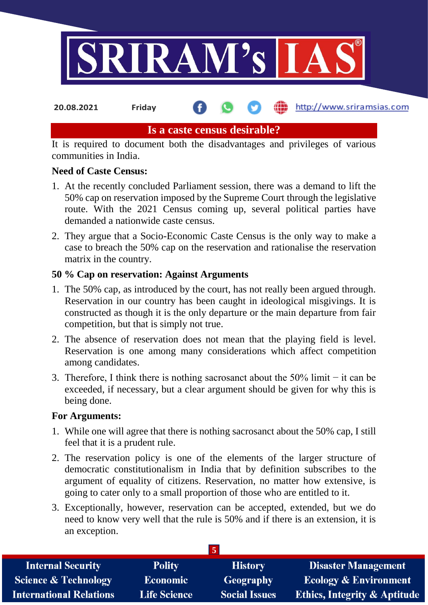

**20.08.2021 Friday**

http://www.sriramsias.com

# **Is a caste census desirable?**

It is required to document both the disadvantages and privileges of various communities in India.

## **Need of Caste Census:**

- 1. At the recently concluded Parliament session, there was a demand to lift the 50% cap on reservation imposed by the Supreme Court through the legislative route. With the 2021 Census coming up, several political parties have demanded a nationwide caste census.
- 2. They argue that a Socio-Economic Caste Census is the only way to make a case to breach the 50% cap on the reservation and rationalise the reservation matrix in the country.

## **50 % Cap on reservation: Against Arguments**

- 1. The 50% cap, as introduced by the court, has not really been argued through. Reservation in our country has been caught in ideological misgivings. It is constructed as though it is the only departure or the main departure from fair competition, but that is simply not true.
- 2. The absence of reservation does not mean that the playing field is level. Reservation is one among many considerations which affect competition among candidates.
- 3. Therefore, I think there is nothing sacrosanct about the 50% limit − it can be exceeded, if necessary, but a clear argument should be given for why this is being done.

### **For Arguments:**

- 1. While one will agree that there is nothing sacrosanct about the 50% cap, I still feel that it is a prudent rule.
- 2. The reservation policy is one of the elements of the larger structure of democratic constitutionalism in India that by definition subscribes to the argument of equality of citizens. Reservation, no matter how extensive, is going to cater only to a small proportion of those who are entitled to it.
- 3. Exceptionally, however, reservation can be accepted, extended, but we do need to know very well that the rule is 50% and if there is an extension, it is an exception.

| <b>Internal Security</b>        | <b>Polity</b>       | <b>History</b>       | <b>Disaster Management</b>              |
|---------------------------------|---------------------|----------------------|-----------------------------------------|
| <b>Science &amp; Technology</b> | <b>Economic</b>     | Geography            | <b>Ecology &amp; Environment</b>        |
| <b>International Relations</b>  | <b>Life Science</b> | <b>Social Issues</b> | <b>Ethics, Integrity &amp; Aptitude</b> |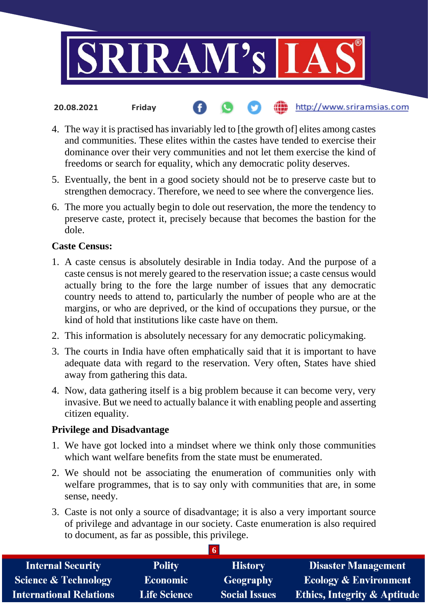

- http://www.sriramsias.com **20.08.2021 Friday**
- 4. The way it is practised has invariably led to [the growth of] elites among castes and communities. These elites within the castes have tended to exercise their dominance over their very communities and not let them exercise the kind of freedoms or search for equality, which any democratic polity deserves.
- 5. Eventually, the bent in a good society should not be to preserve caste but to strengthen democracy. Therefore, we need to see where the convergence lies.
- 6. The more you actually begin to dole out reservation, the more the tendency to preserve caste, protect it, precisely because that becomes the bastion for the dole.

#### **Caste Census:**

- 1. A caste census is absolutely desirable in India today. And the purpose of a caste census is not merely geared to the reservation issue; a caste census would actually bring to the fore the large number of issues that any democratic country needs to attend to, particularly the number of people who are at the margins, or who are deprived, or the kind of occupations they pursue, or the kind of hold that institutions like caste have on them.
- 2. This information is absolutely necessary for any democratic policymaking.
- 3. The courts in India have often emphatically said that it is important to have adequate data with regard to the reservation. Very often, States have shied away from gathering this data.
- 4. Now, data gathering itself is a big problem because it can become very, very invasive. But we need to actually balance it with enabling people and asserting citizen equality.

#### **Privilege and Disadvantage**

- 1. We have got locked into a mindset where we think only those communities which want welfare benefits from the state must be enumerated.
- 2. We should not be associating the enumeration of communities only with welfare programmes, that is to say only with communities that are, in some sense, needy.
- 3. Caste is not only a source of disadvantage; it is also a very important source of privilege and advantage in our society. Caste enumeration is also required to document, as far as possible, this privilege.

**6**

| <b>Internal Security</b>        | <b>Polity</b>       | <b>History</b>       | <b>Disaster Management</b>              |
|---------------------------------|---------------------|----------------------|-----------------------------------------|
| <b>Science &amp; Technology</b> | <b>Economic</b>     | Geography            | <b>Ecology &amp; Environment</b>        |
| <b>International Relations</b>  | <b>Life Science</b> | <b>Social Issues</b> | <b>Ethics, Integrity &amp; Aptitude</b> |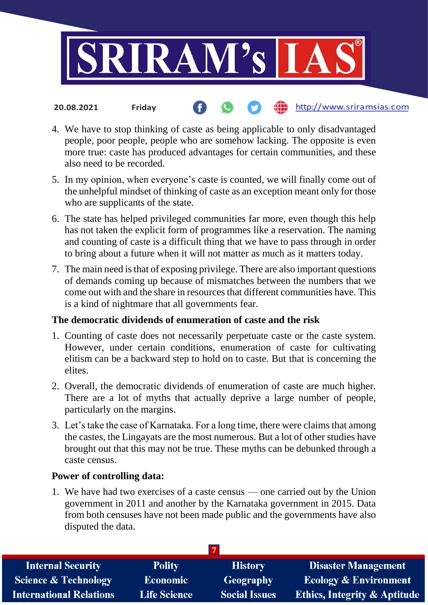

- 4. We have to stop thinking of caste as being applicable to only disadvantaged people, poor people, people who are somehow lacking. The opposite is even more true: caste has produced advantages for certain communities, and these also need to be recorded.
- 5. In my opinion, when everyone's caste is counted, we will finally come out of the unhelpful mindset of thinking of caste as an exception meant only for those who are supplicants of the state.
- 6. The state has helped privileged communities far more, even though this help has not taken the explicit form of programmes like a reservation. The naming and counting of caste is a difficult thing that we have to pass through in order to bring about a future when it will not matter as much as it matters today.
- 7. The main need is that of exposing privilege. There are also important questions of demands coming up because of mismatches between the numbers that we come out with and the share in resources that different communities have. This is a kind of nightmare that all governments fear.

# **The democratic dividends of enumeration of caste and the risk**

- 1. Counting of caste does not necessarily perpetuate caste or the caste system. However, under certain conditions, enumeration of caste for cultivating elitism can be a backward step to hold on to caste. But that is concerning the elites.
- 2. Overall, the democratic dividends of enumeration of caste are much higher. There are a lot of myths that actually deprive a large number of people, particularly on the margins.
- 3. Let's take the case of Karnataka. For a long time, there were claims that among the castes, the Lingayats are the most numerous. But a lot of other studies have brought out that this may not be true. These myths can be debunked through a caste census.

# **Power of controlling data:**

**20.08.2021 Friday**

1. We have had two exercises of a caste census — one carried out by the Union government in 2011 and another by the Karnataka government in 2015. Data from both censuses have not been made public and the governments have also disputed the data.

| <b>Internal Security</b>        | <b>Polity</b>       | <b>History</b>       | <b>Disaster Management</b>              |
|---------------------------------|---------------------|----------------------|-----------------------------------------|
| <b>Science &amp; Technology</b> | <b>Economic</b>     | Geography            | <b>Ecology &amp; Environment</b>        |
| <b>International Relations</b>  | <b>Life Science</b> | <b>Social Issues</b> | <b>Ethics, Integrity &amp; Aptitude</b> |
|                                 |                     |                      |                                         |